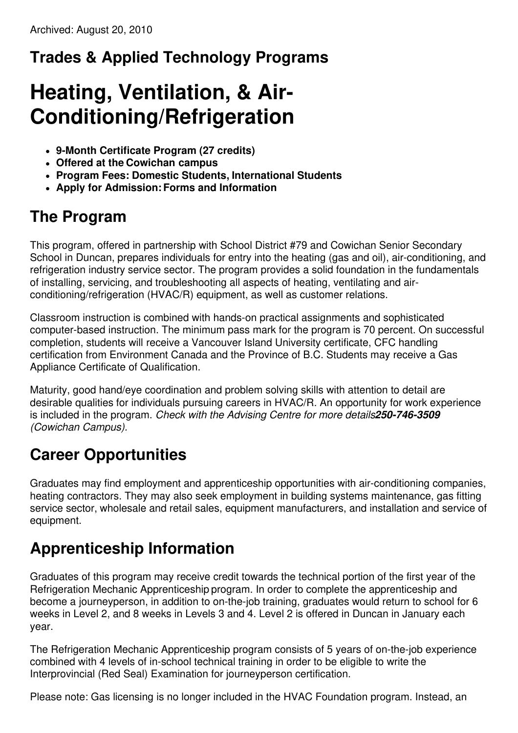## **Trades & Applied Technology Programs**

# **Heating, Ventilation, & Air-Conditioning/Refrigeration**

- **9-Month Certificate Program (27 credits)**
- **Offered at the Cowichan campus**
- **Program Fees: Domestic Students, International Students**
- **Apply for Admission:Forms and Information**

#### **The Program**

This program, offered in partnership with School District #79 and Cowichan Senior Secondary School in Duncan, prepares individuals for entry into the heating (gas and oil), air-conditioning, and refrigeration industry service sector. The program provides a solid foundation in the fundamentals of installing, servicing, and troubleshooting all aspects of heating, ventilating and airconditioning/refrigeration (HVAC/R) equipment, as well as customer relations.

Classroom instruction is combined with hands-on practical assignments and sophisticated computer-based instruction. The minimum pass mark for the program is 70 percent. On successful completion, students will receive a Vancouver Island University certificate, CFC handling certification from Environment Canada and the Province of B.C. Students may receive a Gas Appliance Certificate of Qualification.

Maturity, good hand/eye coordination and problem solving skills with attention to detail are desirable qualities for individuals pursuing careers in HVAC/R. An opportunity for work experience is included in the program. *Check with the Advising Centre for more details250-746-3509 (Cowichan Campus).*

## **Career Opportunities**

Graduates may find employment and apprenticeship opportunities with air-conditioning companies, heating contractors. They may also seek employment in building systems maintenance, gas fitting service sector, wholesale and retail sales, equipment manufacturers, and installation and service of equipment.

## **Apprenticeship Information**

Graduates of this program may receive credit towards the technical portion of the first year of the Refrigeration Mechanic Apprenticeship program. In order to complete the apprenticeship and become a journeyperson, in addition to on-the-job training, graduates would return to school for 6 weeks in Level 2, and 8 weeks in Levels 3 and 4. Level 2 is offered in Duncan in January each year.

The Refrigeration Mechanic Apprenticeship program consists of 5 years of on-the-job experience combined with 4 levels of in-school technical training in order to be eligible to write the Interprovincial (Red Seal) Examination for journeyperson certification.

Please note: Gas licensing is no longer included in the HVAC Foundation program. Instead, an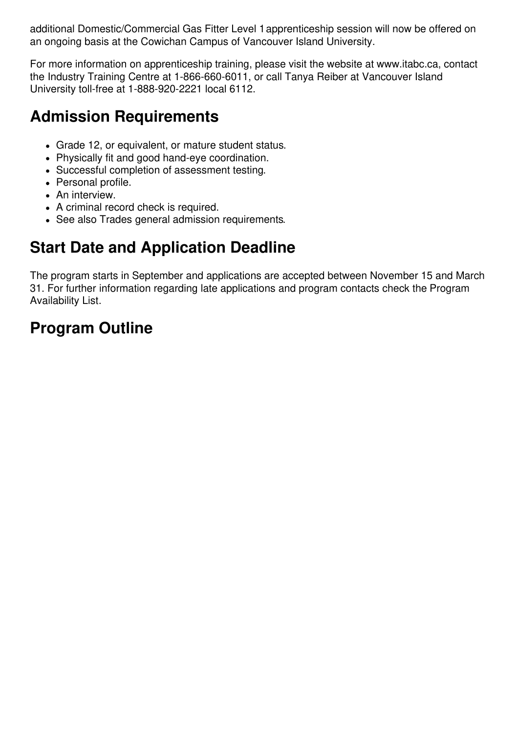additional Domestic/Commercial Gas Fitter Level 1apprenticeship session will now be offered on an ongoing basis at the Cowichan Campus of Vancouver Island University.

For more information on apprenticeship training, please visit the website at www.itabc.ca, contact the Industry Training Centre at 1-866-660-6011, or call Tanya Reiber at Vancouver Island University toll-free at 1-888-920-2221 local 6112.

### **Admission Requirements**

- Grade 12, or equivalent, or mature student status.
- Physically fit and good hand-eye coordination.
- Successful completion of assessment testing.
- Personal profile.
- An interview.
- A criminal record check is required.
- See also Trades general admission requirements.

### **Start Date and Application Deadline**

The program starts in September and applications are accepted between November 15 and March 31. For further information regarding late applications and program contacts check the Program Availability List.

### **Program Outline**